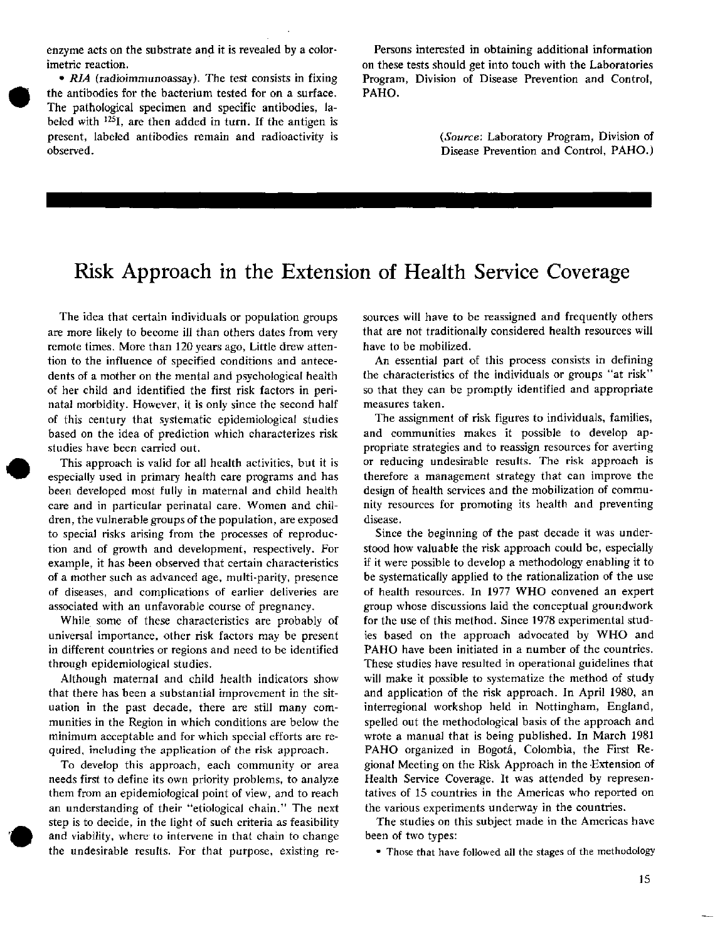enzyme acts on the substrate and it is revealed by a colorimetric reaction.

*RIA (radioimmunoassay).* The test consists in fixing the antibodies for the bacterium tested for on a surface. The pathological specimen and specific antibodies, labeled with <sup>125</sup>I, are then added in turn. If the antigen is present, labeled antibodies remain and radioactivity is observed.

Persons interested in obtaining additional information on these tests should get into touch with the Laboratories Program, Division of Disease Prevention and Control, PAHO.

> *(Source:* Laboratory Program, Division of Disease Prevention and Control, PAHO.)

## **Risk Approach in the Extension of Health Service Coverage**

1~~~~~~~~~~~

The idea that certain individuals or population groups are more likely to become ill than others dates from very remote times. More than 120 years ago, Little drew attention to the influence of specified conditions and antecedents of a mother on the mental and psychological health of her child and identified the first risk factors in perinatal morbidity. However, it is only since the second half of this century that systematic epidemiological studies based on the idea of prediction which characterizes risk studies have been carried out.

This approach is valid for all health activities, but it is especially used in primary health care programs and has been developed most fully in maternal and child health care and in particular perinatal care. Women and children, the vulnerable groups of the population, are exposed to special risks arising from the processes of reproduction and of growth and development, respectively. For example, it has been observed that certain characteristics of a mother such as advanced age, multi-parity, presence of diseases, and complications of earlier deliveries are associated with an unfavorable course of pregnancy.

While some of these characteristics are probably of universal importance, other risk factors may be present in different countries or regions and need to be identified through epidemiological studies.

Although maternal and child health indicators show that there has been a substantial improvement in the situation in the past decade, there are still many communities in the Region in which conditions are below the minimum acceptable and for which special efforts are required, including the application of the risk approach.

To develop this approach, each community or area needs first to define its own priority problems, to analyze them from an epidemiological point of view, and to reach an understanding of their "etiological chain." The next step is to decide, in the light of such criteria as feasibility and viability, where to intervene in that chain to change the undesirable results. For that purpose, existing resources will have to be reassigned and frequently others that are not traditionally considered health resources will have to be mobilized.

An essential part of this process consists in defining the characteristics of the individuals or groups "at risk" so that they can be promptly identified and appropriate measures taken.

The assignment of risk figures to individuals, families, and communities makes it possible to develop appropriate strategies and to reassign resources for averting or reducing undesirable results. The risk approach is therefore a management strategy that can improve the design of health services and the mobilization of community resources for promoting its health and preventing disease.

Since the beginning of the past decade it was understood how valuable the risk approach could be, especially if it were possible to develop a methodology enabling it to be systematically applied to the rationalization of the use of health resources. In 1977 WHO convened an expert group whose discussions laid the conceptual groundwork for the use of this method. Since 1978 experimental studies based on the approach advocated by WHO and PAHO have been initiated in a number of the countries. These studies have resulted in operational guidelines that will make it possible to systematize the method of study and application of the risk approach. In April 1980, an interregional workshop held in Nottingham, England, spelled out the methodological basis of the approach and wrote a manual that is being published. In March 1981 PAHO organized in Bogotá, Colombia, the First Regional Meeting on the Risk Approach in the Extension of Health Service Coverage. It was attended by representatives of 15 countries in the Americas who reported on the various experiments underway in the countries.

The studies on this subject made in the Americas have been of two types:

\* Those that have followed all the stages of the methodology